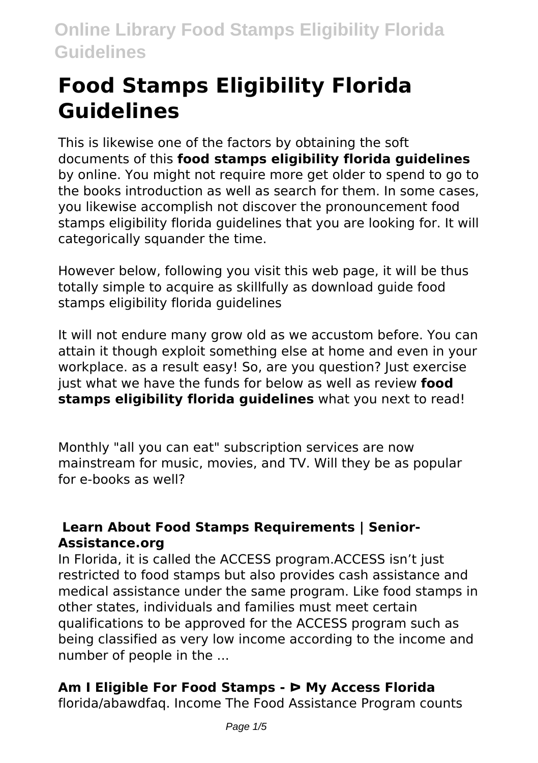# **Food Stamps Eligibility Florida Guidelines**

This is likewise one of the factors by obtaining the soft documents of this **food stamps eligibility florida guidelines** by online. You might not require more get older to spend to go to the books introduction as well as search for them. In some cases, you likewise accomplish not discover the pronouncement food stamps eligibility florida guidelines that you are looking for. It will categorically squander the time.

However below, following you visit this web page, it will be thus totally simple to acquire as skillfully as download guide food stamps eligibility florida guidelines

It will not endure many grow old as we accustom before. You can attain it though exploit something else at home and even in your workplace, as a result easy! So, are you question? Just exercise just what we have the funds for below as well as review **food stamps eligibility florida guidelines** what you next to read!

Monthly "all you can eat" subscription services are now mainstream for music, movies, and TV. Will they be as popular for e-books as well?

#### **Learn About Food Stamps Requirements | Senior-Assistance.org**

In Florida, it is called the ACCESS program.ACCESS isn't just restricted to food stamps but also provides cash assistance and medical assistance under the same program. Like food stamps in other states, individuals and families must meet certain qualifications to be approved for the ACCESS program such as being classified as very low income according to the income and number of people in the ...

### **Am I Eligible For Food Stamps - ᐅ My Access Florida**

florida/abawdfaq. Income The Food Assistance Program counts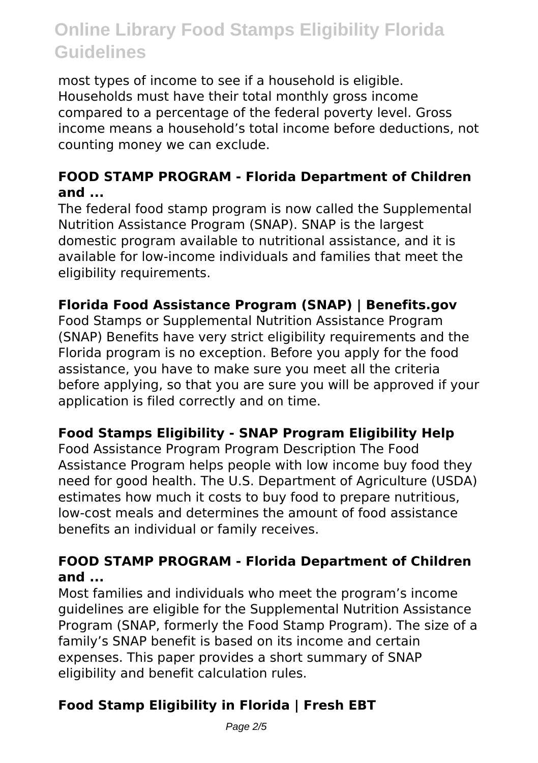most types of income to see if a household is eligible. Households must have their total monthly gross income compared to a percentage of the federal poverty level. Gross income means a household's total income before deductions, not counting money we can exclude.

#### **FOOD STAMP PROGRAM - Florida Department of Children and ...**

The federal food stamp program is now called the Supplemental Nutrition Assistance Program (SNAP). SNAP is the largest domestic program available to nutritional assistance, and it is available for low-income individuals and families that meet the eligibility requirements.

#### **Florida Food Assistance Program (SNAP) | Benefits.gov**

Food Stamps or Supplemental Nutrition Assistance Program (SNAP) Benefits have very strict eligibility requirements and the Florida program is no exception. Before you apply for the food assistance, you have to make sure you meet all the criteria before applying, so that you are sure you will be approved if your application is filed correctly and on time.

#### **Food Stamps Eligibility - SNAP Program Eligibility Help**

Food Assistance Program Program Description The Food Assistance Program helps people with low income buy food they need for good health. The U.S. Department of Agriculture (USDA) estimates how much it costs to buy food to prepare nutritious, low-cost meals and determines the amount of food assistance benefits an individual or family receives.

#### **FOOD STAMP PROGRAM - Florida Department of Children and ...**

Most families and individuals who meet the program's income guidelines are eligible for the Supplemental Nutrition Assistance Program (SNAP, formerly the Food Stamp Program). The size of a family's SNAP benefit is based on its income and certain expenses. This paper provides a short summary of SNAP eligibility and benefit calculation rules.

### **Food Stamp Eligibility in Florida | Fresh EBT**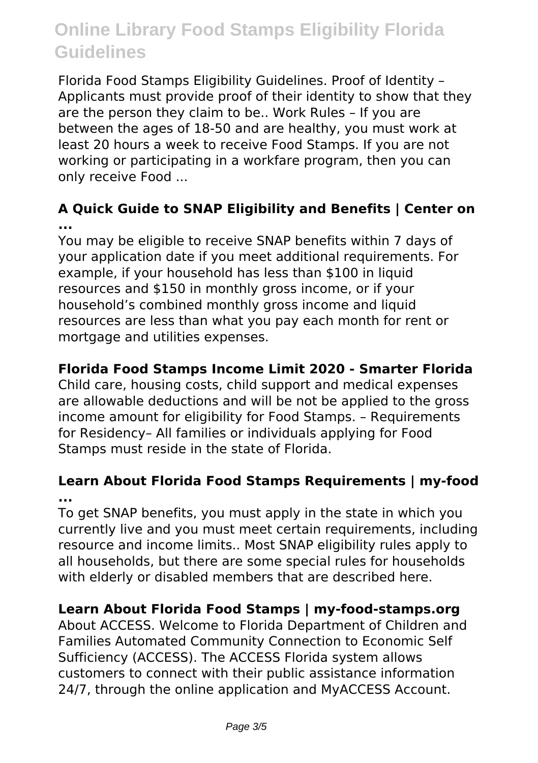Florida Food Stamps Eligibility Guidelines. Proof of Identity – Applicants must provide proof of their identity to show that they are the person they claim to be.. Work Rules – If you are between the ages of 18-50 and are healthy, you must work at least 20 hours a week to receive Food Stamps. If you are not working or participating in a workfare program, then you can only receive Food ...

#### **A Quick Guide to SNAP Eligibility and Benefits | Center on ...**

You may be eligible to receive SNAP benefits within 7 days of your application date if you meet additional requirements. For example, if your household has less than \$100 in liquid resources and \$150 in monthly gross income, or if your household's combined monthly gross income and liquid resources are less than what you pay each month for rent or mortgage and utilities expenses.

#### **Florida Food Stamps Income Limit 2020 - Smarter Florida**

Child care, housing costs, child support and medical expenses are allowable deductions and will be not be applied to the gross income amount for eligibility for Food Stamps. – Requirements for Residency– All families or individuals applying for Food Stamps must reside in the state of Florida.

#### **Learn About Florida Food Stamps Requirements | my-food ...**

To get SNAP benefits, you must apply in the state in which you currently live and you must meet certain requirements, including resource and income limits.. Most SNAP eligibility rules apply to all households, but there are some special rules for households with elderly or disabled members that are described here.

#### **Learn About Florida Food Stamps | my-food-stamps.org**

About ACCESS. Welcome to Florida Department of Children and Families Automated Community Connection to Economic Self Sufficiency (ACCESS). The ACCESS Florida system allows customers to connect with their public assistance information 24/7, through the online application and MyACCESS Account.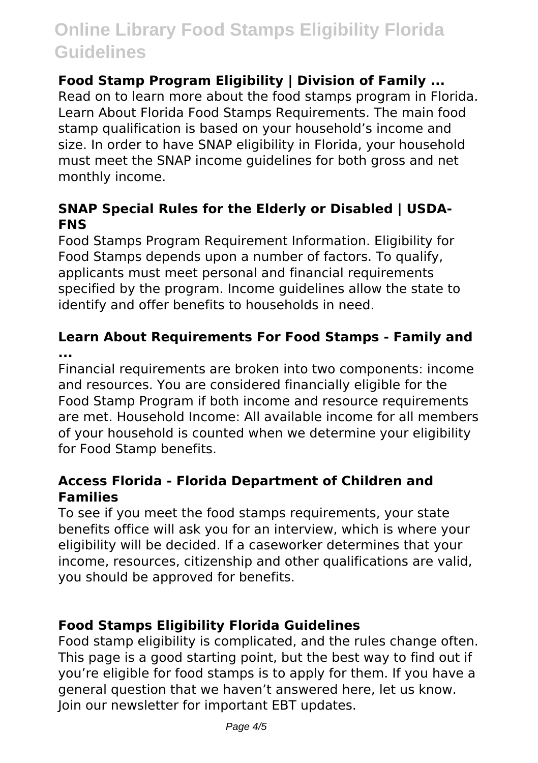#### **Food Stamp Program Eligibility | Division of Family ...**

Read on to learn more about the food stamps program in Florida. Learn About Florida Food Stamps Requirements. The main food stamp qualification is based on your household's income and size. In order to have SNAP eligibility in Florida, your household must meet the SNAP income guidelines for both gross and net monthly income.

#### **SNAP Special Rules for the Elderly or Disabled | USDA-FNS**

Food Stamps Program Requirement Information. Eligibility for Food Stamps depends upon a number of factors. To qualify, applicants must meet personal and financial requirements specified by the program. Income guidelines allow the state to identify and offer benefits to households in need.

#### **Learn About Requirements For Food Stamps - Family and ...**

Financial requirements are broken into two components: income and resources. You are considered financially eligible for the Food Stamp Program if both income and resource requirements are met. Household Income: All available income for all members of your household is counted when we determine your eligibility

for Food Stamp benefits.

#### **Access Florida - Florida Department of Children and Families**

To see if you meet the food stamps requirements, your state benefits office will ask you for an interview, which is where your eligibility will be decided. If a caseworker determines that your income, resources, citizenship and other qualifications are valid, you should be approved for benefits.

#### **Food Stamps Eligibility Florida Guidelines**

Food stamp eligibility is complicated, and the rules change often. This page is a good starting point, but the best way to find out if you're eligible for food stamps is to apply for them. If you have a general question that we haven't answered here, let us know. Join our newsletter for important EBT updates.